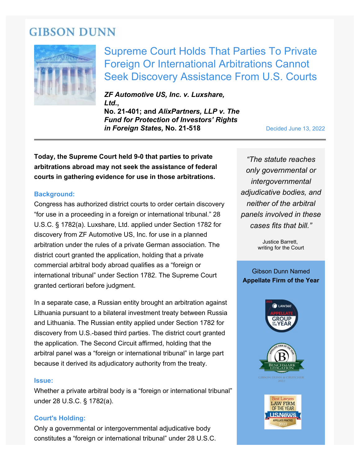# **GIBSON DUNN**



Supreme Court Holds That Parties To Private Foreign Or International Arbitrations Cannot Seek Discovery Assistance From U.S. Courts

*ZF Automotive US, Inc. v. Luxshare, Ltd.***, No. 21-401; and** *AlixPartners, LLP v. The Fund for Protection of Investors' Rights in Foreign States, No. 21-518* Decided June 13, 2022

**Today, the Supreme Court held 9-0 that parties to private arbitrations abroad may not seek the assistance of federal courts in gathering evidence for use in those arbitrations.**

# **Background:**

Congress has authorized district courts to order certain discovery "for use in a proceeding in a foreign or international tribunal." 28 U.S.C. § 1782(a). Luxshare, Ltd. applied under Section 1782 for discovery from ZF Automotive US, Inc. for use in a planned arbitration under the rules of a private German association. The district court granted the application, holding that a private commercial arbitral body abroad qualifies as a "foreign or international tribunal" under Section 1782. The Supreme Court granted certiorari before judgment.

In a separate case, a Russian entity brought an arbitration against Lithuania pursuant to a bilateral investment treaty between Russia and Lithuania. The Russian entity applied under Section 1782 for discovery from U.S.-based third parties. The district court granted the application. The Second Circuit affirmed, holding that the arbitral panel was a "foreign or international tribunal" in large part because it derived its adjudicatory authority from the treaty.

#### **Issue:**

Whether a private arbitral body is a "foreign or international tribunal" under 28 U.S.C. § 1782(a).

### **Court's Holding:**

Only a governmental or intergovernmental adjudicative body constitutes a "foreign or international tribunal" under 28 U.S.C.

*"The statute reaches only governmental or intergovernmental adjudicative bodies, and neither of the arbitral panels involved in these cases fits that bill."*

> Justice Barrett, writing for the Court

# Gibson Dunn Named **Appellate Firm of the Year**



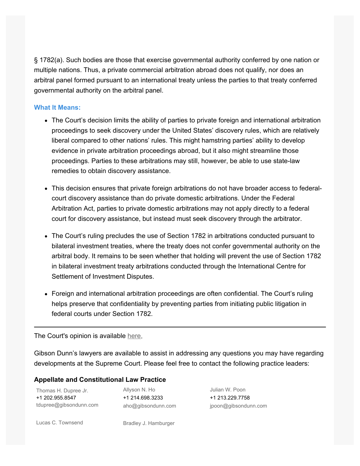§ 1782(a). Such bodies are those that exercise governmental authority conferred by one nation or multiple nations. Thus, a private commercial arbitration abroad does not qualify, nor does an arbitral panel formed pursuant to an international treaty unless the parties to that treaty conferred governmental authority on the arbitral panel.

## **What It Means:**

- The Court's decision limits the ability of parties to private foreign and international arbitration proceedings to seek discovery under the United States' discovery rules, which are relatively liberal compared to other nations' rules. This might hamstring parties' ability to develop evidence in private arbitration proceedings abroad, but it also might streamline those proceedings. Parties to these arbitrations may still, however, be able to use state-law remedies to obtain discovery assistance.
- This decision ensures that private foreign arbitrations do not have broader access to federalcourt discovery assistance than do private domestic arbitrations. Under the Federal Arbitration Act, parties to private domestic arbitrations may not apply directly to a federal court for discovery assistance, but instead must seek discovery through the arbitrator.
- The Court's ruling precludes the use of Section 1782 in arbitrations conducted pursuant to bilateral investment treaties, where the treaty does not confer governmental authority on the arbitral body. It remains to be seen whether that holding will prevent the use of Section 1782 in bilateral investment treaty arbitrations conducted through the International Centre for Settlement of Investment Disputes.
- Foreign and international arbitration proceedings are often confidential. The Court's ruling helps preserve that confidentiality by preventing parties from initiating public litigation in federal courts under Section 1782.

The Court's opinion is available [here.](https://www.gibsondunn.com/wp-content/uploads/2022/06/21-401-ZF-Automotive-US-Inc.-v.-Luxshare-Ltd.-06_13_2022.pdf)

Gibson Dunn's lawyers are available to assist in addressing any questions you may have regarding developments at the Supreme Court. Please feel free to contact the following practice leaders:

### **Appellate and Constitutional Law Practice**

| Thomas H. Dupree Jr.   | Allyson N. Ho      |
|------------------------|--------------------|
| +1 202.955.8547        | +1 214.698.3233    |
| tdupree@gibsondunn.com | aho@gibsondunn.com |

Julian W. Poon +1 213.229.7758 [jpoon@gibsond](https://www.gibsondunn.com/lawyer/poon-julian-w/)unn.com

[Lucas C. Townsend](https://www.gibsondunn.com/lawyer/townsend-lucas-c/) [Bradley J. Hamburger](https://www.gibsondunn.com/lawyer/hamburger-bradley-j/)